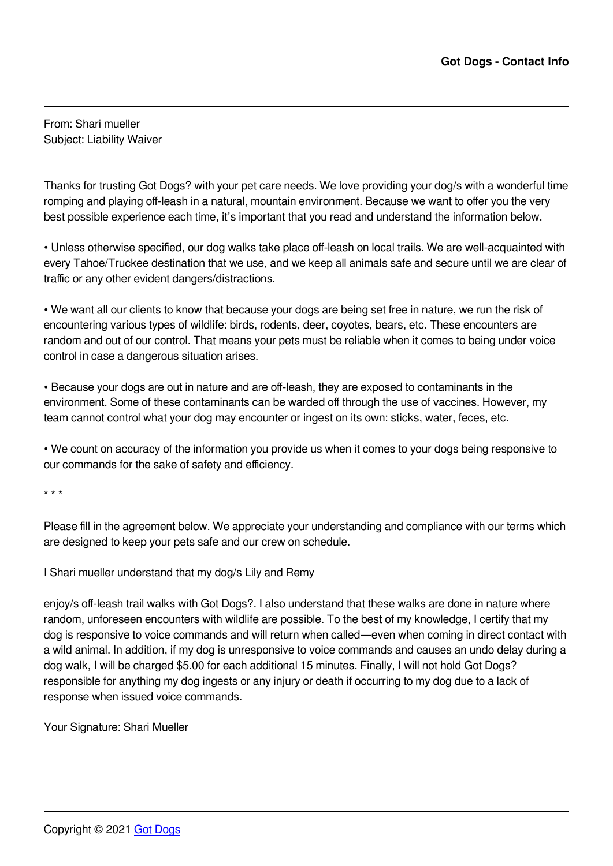From: Shari mueller Subject: Liability Waiver

Thanks for trusting Got Dogs? with your pet care needs. We love providing your dog/s with a wonderful time romping and playing off-leash in a natural, mountain environment. Because we want to offer you the very best possible experience each time, it's important that you read and understand the information below.

• Unless otherwise specified, our dog walks take place off-leash on local trails. We are well-acquainted with every Tahoe/Truckee destination that we use, and we keep all animals safe and secure until we are clear of traffic or any other evident dangers/distractions.

• We want all our clients to know that because your dogs are being set free in nature, we run the risk of encountering various types of wildlife: birds, rodents, deer, coyotes, bears, etc. These encounters are random and out of our control. That means your pets must be reliable when it comes to being under voice control in case a dangerous situation arises.

• Because your dogs are out in nature and are off-leash, they are exposed to contaminants in the environment. Some of these contaminants can be warded off through the use of vaccines. However, my team cannot control what your dog may encounter or ingest on its own: sticks, water, feces, etc.

• We count on accuracy of the information you provide us when it comes to your dogs being responsive to our commands for the sake of safety and efficiency.

\* \* \*

Please fill in the agreement below. We appreciate your understanding and compliance with our terms which are designed to keep your pets safe and our crew on schedule.

I Shari mueller understand that my dog/s Lily and Remy

enjoy/s off-leash trail walks with Got Dogs?. I also understand that these walks are done in nature where random, unforeseen encounters with wildlife are possible. To the best of my knowledge, I certify that my dog is responsive to voice commands and will return when called—even when coming in direct contact with a wild animal. In addition, if my dog is unresponsive to voice commands and causes an undo delay during a dog walk, I will be charged \$5.00 for each additional 15 minutes. Finally, I will not hold Got Dogs? responsible for anything my dog ingests or any injury or death if occurring to my dog due to a lack of response when issued voice commands.

Your Signature: Shari Mueller